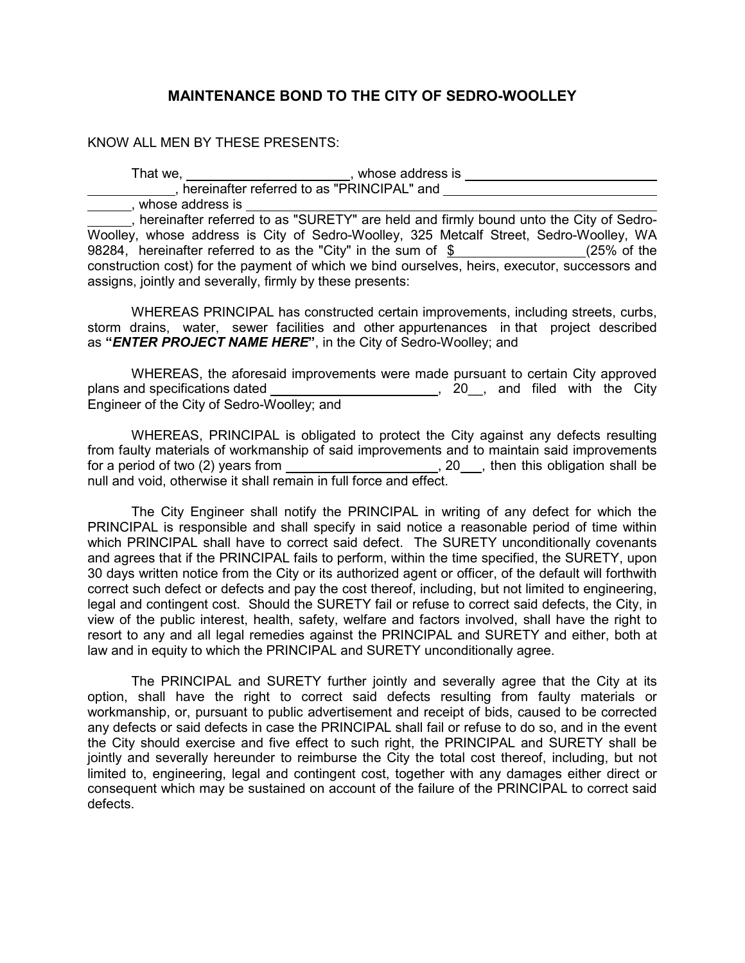## **MAINTENANCE BOND TO THE CITY OF SEDRO-WOOLLEY**

## KNOW ALL MEN BY THESE PRESENTS:

That we, \_\_\_\_\_\_\_\_\_\_\_\_\_\_\_\_\_\_\_\_\_\_\_, whose address is , hereinafter referred to as "PRINCIPAL" and whose address is

<sub>1</sub>, hereinafter referred to as "SURETY" are held and firmly bound unto the City of Sedro-Woolley, whose address is City of Sedro-Woolley, 325 Metcalf Street, Sedro-Woolley, WA 98284, hereinafter referred to as the "City" in the sum of  $\frac{1}{2}$  (25% of the construction cost) for the payment of which we bind ourselves, heirs, executor, successors and assigns, jointly and severally, firmly by these presents:

WHEREAS PRINCIPAL has constructed certain improvements, including streets, curbs, storm drains, water, sewer facilities and other appurtenances in that project described as **"***ENTER PROJECT NAME HERE***"**, in the City of Sedro-Woolley; and

 WHEREAS, the aforesaid improvements were made pursuant to certain City approved plans and specifications dated \_\_\_\_\_\_\_\_\_\_\_\_\_\_\_\_\_\_\_\_\_\_\_\_\_, 20\_, and filed with the City Engineer of the City of Sedro-Woolley; and

 WHEREAS, PRINCIPAL is obligated to protect the City against any defects resulting from faulty materials of workmanship of said improvements and to maintain said improvements for a period of two (2) years from  $\Box$  . 20 , then this obligation shall be null and void, otherwise it shall remain in full force and effect.

The City Engineer shall notify the PRINCIPAL in writing of any defect for which the PRINCIPAL is responsible and shall specify in said notice a reasonable period of time within which PRINCIPAL shall have to correct said defect. The SURETY unconditionally covenants and agrees that if the PRINCIPAL fails to perform, within the time specified, the SURETY, upon 30 days written notice from the City or its authorized agent or officer, of the default will forthwith correct such defect or defects and pay the cost thereof, including, but not limited to engineering, legal and contingent cost. Should the SURETY fail or refuse to correct said defects, the City, in view of the public interest, health, safety, welfare and factors involved, shall have the right to resort to any and all legal remedies against the PRINCIPAL and SURETY and either, both at law and in equity to which the PRINCIPAL and SURETY unconditionally agree.

The PRINCIPAL and SURETY further jointly and severally agree that the City at its option, shall have the right to correct said defects resulting from faulty materials or workmanship, or, pursuant to public advertisement and receipt of bids, caused to be corrected any defects or said defects in case the PRINCIPAL shall fail or refuse to do so, and in the event the City should exercise and five effect to such right, the PRINCIPAL and SURETY shall be jointly and severally hereunder to reimburse the City the total cost thereof, including, but not limited to, engineering, legal and contingent cost, together with any damages either direct or consequent which may be sustained on account of the failure of the PRINCIPAL to correct said defects.